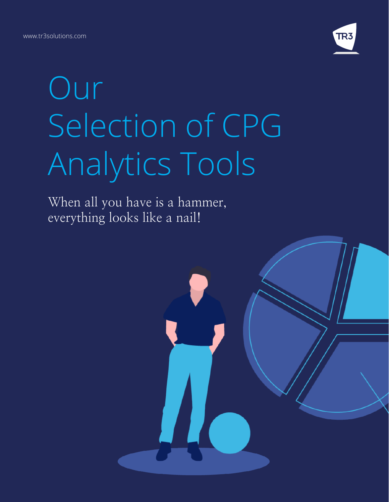www.tr3solutions.com



# Our Selection of CPG Analytics Tools

When all you have is a hammer, everything looks like a nail!

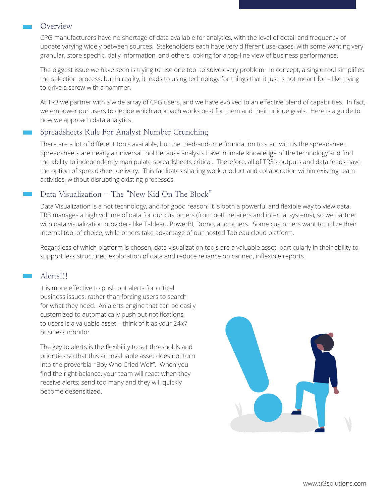#### Overview

CPG manufacturers have no shortage of data available for analytics, with the level of detail and frequency of update varying widely between sources. Stakeholders each have very different use-cases, with some wanting very granular, store specific, daily information, and others looking for a top-line view of business performance.

The biggest issue we have seen is trying to use one tool to solve every problem. In concept, a single tool simplifies the selection process, but in reality, it leads to using technology for things that it just is not meant for – like trying to drive a screw with a hammer.

At TR3 we partner with a wide array of CPG users, and we have evolved to an effective blend of capabilities. In fact, we empower our users to decide which approach works best for them and their unique goals. Here is a guide to how we approach data analytics.

## Spreadsheets Rule For Analyst Number Crunching

There are a lot of different tools available, but the tried-and-true foundation to start with is the spreadsheet. Spreadsheets are nearly a universal tool because analysts have intimate knowledge of the technology and find the ability to independently manipulate spreadsheets critical. Therefore, all of TR3's outputs and data feeds have the option of spreadsheet delivery. This facilitates sharing work product and collaboration within existing team activities, without disrupting existing processes.

## Data Visualization - The "New Kid On The Block"

Data Visualization is a hot technology, and for good reason: it is both a powerful and flexible way to view data. TR3 manages a high volume of data for our customers (from both retailers and internal systems), so we partner with data visualization providers like Tableau, PowerBI, Domo, and others. Some customers want to utilize their internal tool of choice, while others take advantage of our hosted Tableau cloud platform.

Regardless of which platform is chosen, data visualization tools are a valuable asset, particularly in their ability to support less structured exploration of data and reduce reliance on canned, inflexible reports.

## Alerts!!!

It is more effective to push out alerts for critical business issues, rather than forcing users to search for what they need. An alerts engine that can be easily customized to automatically push out notifications to users is a valuable asset – think of it as your 24x7 business monitor.

The key to alerts is the flexibility to set thresholds and priorities so that this an invaluable asset does not turn into the proverbial "Boy Who Cried Wolf". When you find the right balance, your team will react when they receive alerts; send too many and they will quickly become desensitized.